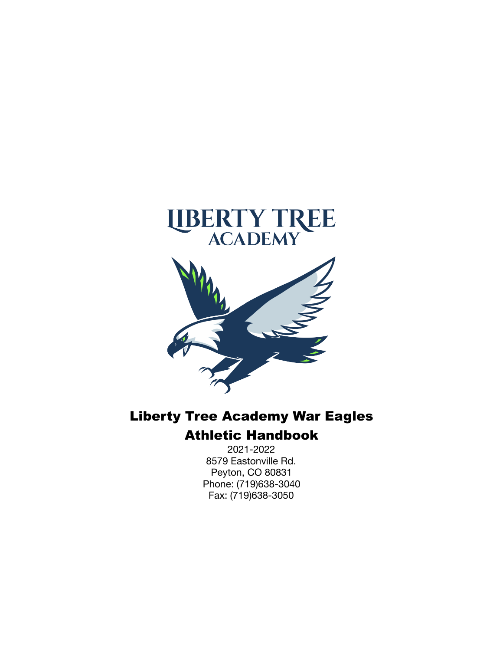

# Liberty Tree Academy War Eagles Athletic Handbook

2021-2022 8579 Eastonville Rd. Peyton, CO 80831 Phone: (719)638-3040 Fax: (719)638-3050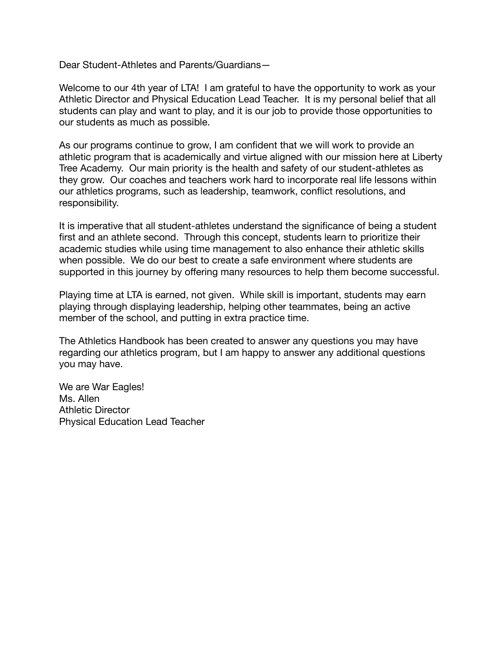Dear Student-Athletes and Parents/Guardians—

Welcome to our 4th year of LTA! I am grateful to have the opportunity to work as your Athletic Director and Physical Education Lead Teacher. It is my personal belief that all students can play and want to play, and it is our job to provide those opportunities to our students as much as possible.

As our programs continue to grow, I am confident that we will work to provide an athletic program that is academically and virtue aligned with our mission here at Liberty Tree Academy. Our main priority is the health and safety of our student-athletes as they grow. Our coaches and teachers work hard to incorporate real life lessons within our athletics programs, such as leadership, teamwork, conflict resolutions, and responsibility.

It is imperative that all student-athletes understand the significance of being a student first and an athlete second. Through this concept, students learn to prioritize their academic studies while using time management to also enhance their athletic skills when possible. We do our best to create a safe environment where students are supported in this journey by offering many resources to help them become successful.

Playing time at LTA is earned, not given. While skill is important, students may earn playing through displaying leadership, helping other teammates, being an active member of the school, and putting in extra practice time.

The Athletics Handbook has been created to answer any questions you may have regarding our athletics program, but I am happy to answer any additional questions you may have.

We are War Eagles! Ms. Allen Athletic Director Physical Education Lead Teacher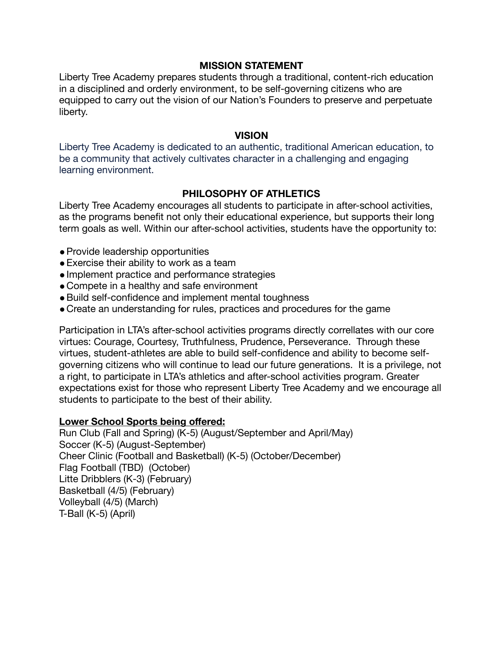#### **MISSION STATEMENT**

Liberty Tree Academy prepares students through a traditional, content-rich education in a disciplined and orderly environment, to be self-governing citizens who are equipped to carry out the vision of our Nation's Founders to preserve and perpetuate liberty.

#### **VISION**

Liberty Tree Academy is dedicated to an authentic, traditional American education, to be a community that actively cultivates character in a challenging and engaging learning environment.

#### **PHILOSOPHY OF ATHLETICS**

Liberty Tree Academy encourages all students to participate in after-school activities, as the programs benefit not only their educational experience, but supports their long term goals as well. Within our after-school activities, students have the opportunity to:

- Provide leadership opportunities
- Exercise their ability to work as a team
- ●Implement practice and performance strategies
- Compete in a healthy and safe environment
- Build self-confidence and implement mental toughness
- Create an understanding for rules, practices and procedures for the game

Participation in LTA's after-school activities programs directly correllates with our core virtues: Courage, Courtesy, Truthfulness, Prudence, Perseverance. Through these virtues, student-athletes are able to build self-confidence and ability to become selfgoverning citizens who will continue to lead our future generations. It is a privilege, not a right, to participate in LTA's athletics and after-school activities program. Greater expectations exist for those who represent Liberty Tree Academy and we encourage all students to participate to the best of their ability.

#### **Lower School Sports being offered:**

Run Club (Fall and Spring) (K-5) (August/September and April/May) Soccer (K-5) (August-September) Cheer Clinic (Football and Basketball) (K-5) (October/December) Flag Football (TBD) (October) Litte Dribblers (K-3) (February) Basketball (4/5) (February) Volleyball (4/5) (March) T-Ball (K-5) (April)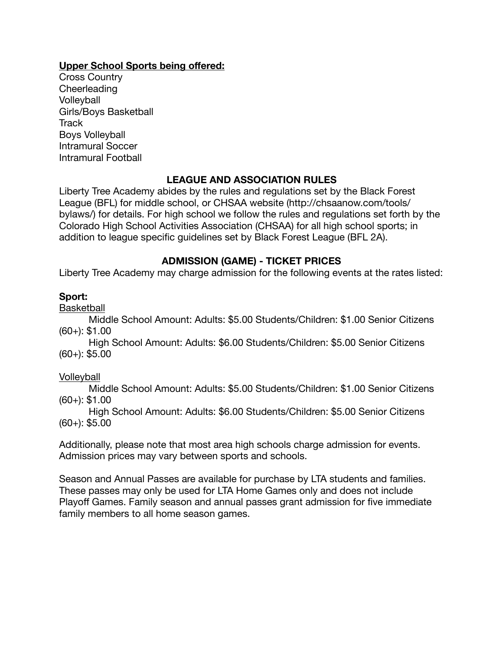### **Upper School Sports being offered:**

Cross Country Cheerleading **Volleyball** Girls/Boys Basketball **Track** Boys Volleyball Intramural Soccer Intramural Football

#### **LEAGUE AND ASSOCIATION RULES**

Liberty Tree Academy abides by the rules and regulations set by the Black Forest League (BFL) for middle school, or CHSAA website (http://chsaanow.com/tools/ bylaws/) for details. For high school we follow the rules and regulations set forth by the Colorado High School Activities Association (CHSAA) for all high school sports; in addition to league specific guidelines set by Black Forest League (BFL 2A).

#### **ADMISSION (GAME) ‐ TICKET PRICES**

Liberty Tree Academy may charge admission for the following events at the rates listed:

#### **Sport:**

**Basketball** 

Middle School Amount: Adults: \$5.00 Students/Children: \$1.00 Senior Citizens  $(60+)$ : \$1.00

High School Amount: Adults: \$6.00 Students/Children: \$5.00 Senior Citizens  $(60+)$ : \$5.00

#### **Volleyball**

Middle School Amount: Adults: \$5.00 Students/Children: \$1.00 Senior Citizens (60+): \$1.00

High School Amount: Adults: \$6.00 Students/Children: \$5.00 Senior Citizens  $(60+)$ : \$5.00

Additionally, please note that most area high schools charge admission for events. Admission prices may vary between sports and schools.

Season and Annual Passes are available for purchase by LTA students and families. These passes may only be used for LTA Home Games only and does not include Playoff Games. Family season and annual passes grant admission for five immediate family members to all home season games.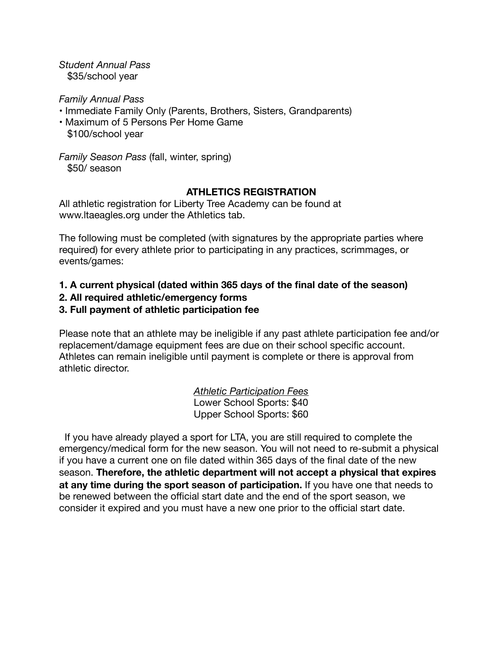*Student Annual Pass*  \$35/school year

*Family Annual Pass* 

- Immediate Family Only (Parents, Brothers, Sisters, Grandparents)
- Maximum of 5 Persons Per Home Game \$100/school year

*Family Season Pass* (fall, winter, spring) \$50/ season

#### **ATHLETICS REGISTRATION**

All athletic registration for Liberty Tree Academy can be found at www.ltaeagles.org under the Athletics tab.

The following must be completed (with signatures by the appropriate parties where required) for every athlete prior to participating in any practices, scrimmages, or events/games:

## **1. A current physical (dated within 365 days of the final date of the season)**

#### **2. All required athletic/emergency forms**

#### **3. Full payment of athletic participation fee**

Please note that an athlete may be ineligible if any past athlete participation fee and/or replacement/damage equipment fees are due on their school specific account. Athletes can remain ineligible until payment is complete or there is approval from athletic director.

> *Athletic Participation Fees*  Lower School Sports: \$40 Upper School Sports: \$60

 If you have already played a sport for LTA, you are still required to complete the emergency/medical form for the new season. You will not need to re-submit a physical if you have a current one on file dated within 365 days of the final date of the new season. **Therefore, the athletic department will not accept a physical that expires at any time during the sport season of participation.** If you have one that needs to be renewed between the official start date and the end of the sport season, we consider it expired and you must have a new one prior to the official start date.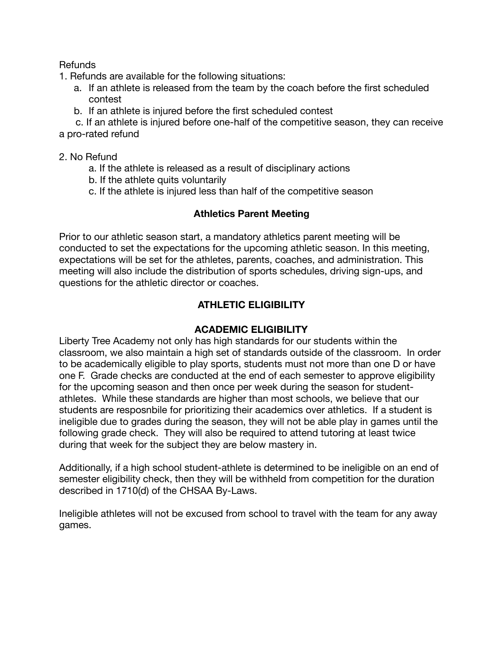Refunds

1. Refunds are available for the following situations:

- a. If an athlete is released from the team by the coach before the first scheduled contest
- b. If an athlete is injured before the first scheduled contest

 c. If an athlete is injured before one-half of the competitive season, they can receive a pro-rated refund

- 2. No Refund
	- a. If the athlete is released as a result of disciplinary actions
	- b. If the athlete quits voluntarily
	- c. If the athlete is injured less than half of the competitive season

## **Athletics Parent Meeting**

Prior to our athletic season start, a mandatory athletics parent meeting will be conducted to set the expectations for the upcoming athletic season. In this meeting, expectations will be set for the athletes, parents, coaches, and administration. This meeting will also include the distribution of sports schedules, driving sign-ups, and questions for the athletic director or coaches.

# **ATHLETIC ELIGIBILITY**

## **ACADEMIC ELIGIBILITY**

Liberty Tree Academy not only has high standards for our students within the classroom, we also maintain a high set of standards outside of the classroom. In order to be academically eligible to play sports, students must not more than one D or have one F. Grade checks are conducted at the end of each semester to approve eligibility for the upcoming season and then once per week during the season for studentathletes. While these standards are higher than most schools, we believe that our students are resposnbile for prioritizing their academics over athletics. If a student is ineligible due to grades during the season, they will not be able play in games until the following grade check. They will also be required to attend tutoring at least twice during that week for the subject they are below mastery in.

Additionally, if a high school student-athlete is determined to be ineligible on an end of semester eligibility check, then they will be withheld from competition for the duration described in 1710(d) of the CHSAA By-Laws.

Ineligible athletes will not be excused from school to travel with the team for any away games.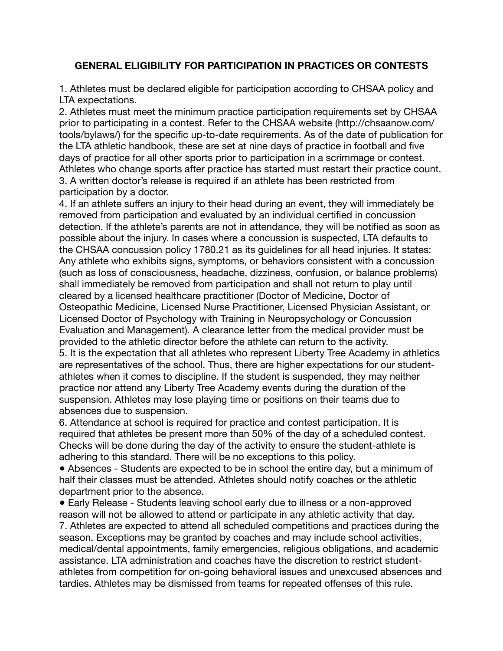## **GENERAL ELIGIBILITY FOR PARTICIPATION IN PRACTICES OR CONTESTS**

1. Athletes must be declared eligible for participation according to CHSAA policy and LTA expectations.

2. Athletes must meet the minimum practice participation requirements set by CHSAA prior to participating in a contest. Refer to the CHSAA website (http://chsaanow.com/ tools/bylaws/) for the specific up-to-date requirements. As of the date of publication for the LTA athletic handbook, these are set at nine days of practice in football and five days of practice for all other sports prior to participation in a scrimmage or contest. Athletes who change sports after practice has started must restart their practice count. 3. A written doctor's release is required if an athlete has been restricted from participation by a doctor.

4. If an athlete suffers an injury to their head during an event, they will immediately be removed from participation and evaluated by an individual certified in concussion detection. If the athlete's parents are not in attendance, they will be notified as soon as possible about the injury. In cases where a concussion is suspected, LTA defaults to the CHSAA concussion policy 1780.21 as its guidelines for all head injuries. It states: Any athlete who exhibits signs, symptoms, or behaviors consistent with a concussion (such as loss of consciousness, headache, dizziness, confusion, or balance problems) shall immediately be removed from participation and shall not return to play until cleared by a licensed healthcare practitioner (Doctor of Medicine, Doctor of Osteopathic Medicine, Licensed Nurse Practitioner, Licensed Physician Assistant, or Licensed Doctor of Psychology with Training in Neuropsychology or Concussion Evaluation and Management). A clearance letter from the medical provider must be provided to the athletic director before the athlete can return to the activity. 5. It is the expectation that all athletes who represent Liberty Tree Academy in athletics are representatives of the school. Thus, there are higher expectations for our studentathletes when it comes to discipline. If the student is suspended, they may neither practice nor attend any Liberty Tree Academy events during the duration of the suspension. Athletes may lose playing time or positions on their teams due to absences due to suspension.

6. Attendance at school is required for practice and contest participation. It is required that athletes be present more than 50% of the day of a scheduled contest. Checks will be done during the day of the activity to ensure the student-athlete is adhering to this standard. There will be no exceptions to this policy.

● Absences - Students are expected to be in school the entire day, but a minimum of half their classes must be attended. Athletes should notify coaches or the athletic department prior to the absence.

● Early Release - Students leaving school early due to illness or a non-approved reason will not be allowed to attend or participate in any athletic activity that day. 7. Athletes are expected to attend all scheduled competitions and practices during the season. Exceptions may be granted by coaches and may include school activities, medical/dental appointments, family emergencies, religious obligations, and academic assistance. LTA administration and coaches have the discretion to restrict studentathletes from competition for on-going behavioral issues and unexcused absences and tardies. Athletes may be dismissed from teams for repeated offenses of this rule.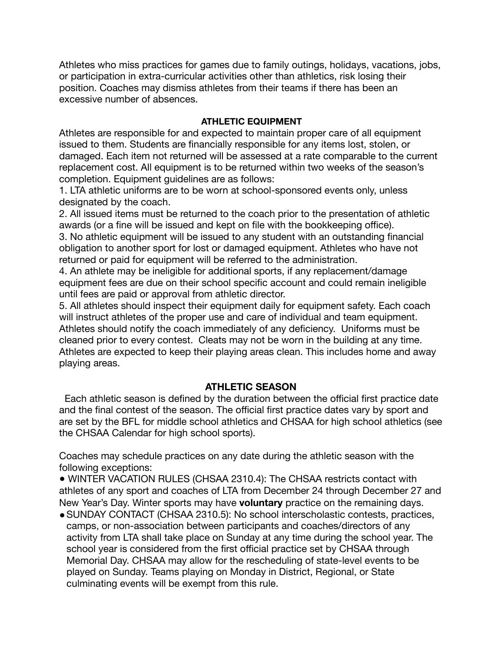Athletes who miss practices for games due to family outings, holidays, vacations, jobs, or participation in extra-curricular activities other than athletics, risk losing their position. Coaches may dismiss athletes from their teams if there has been an excessive number of absences.

#### **ATHLETIC EQUIPMENT**

Athletes are responsible for and expected to maintain proper care of all equipment issued to them. Students are financially responsible for any items lost, stolen, or damaged. Each item not returned will be assessed at a rate comparable to the current replacement cost. All equipment is to be returned within two weeks of the season's completion. Equipment guidelines are as follows:

1. LTA athletic uniforms are to be worn at school-sponsored events only, unless designated by the coach.

2. All issued items must be returned to the coach prior to the presentation of athletic awards (or a fine will be issued and kept on file with the bookkeeping office).

3. No athletic equipment will be issued to any student with an outstanding financial obligation to another sport for lost or damaged equipment. Athletes who have not returned or paid for equipment will be referred to the administration.

4. An athlete may be ineligible for additional sports, if any replacement/damage equipment fees are due on their school specific account and could remain ineligible until fees are paid or approval from athletic director.

5. All athletes should inspect their equipment daily for equipment safety. Each coach will instruct athletes of the proper use and care of individual and team equipment. Athletes should notify the coach immediately of any deficiency. Uniforms must be cleaned prior to every contest. Cleats may not be worn in the building at any time. Athletes are expected to keep their playing areas clean. This includes home and away playing areas.

#### **ATHLETIC SEASON**

 Each athletic season is defined by the duration between the official first practice date and the final contest of the season. The official first practice dates vary by sport and are set by the BFL for middle school athletics and CHSAA for high school athletics (see the CHSAA Calendar for high school sports).

Coaches may schedule practices on any date during the athletic season with the following exceptions:

● WINTER VACATION RULES (CHSAA 2310.4): The CHSAA restricts contact with athletes of any sport and coaches of LTA from December 24 through December 27 and New Year's Day. Winter sports may have **voluntary** practice on the remaining days.

●SUNDAY CONTACT (CHSAA 2310.5): No school interscholastic contests, practices, camps, or non-association between participants and coaches/directors of any activity from LTA shall take place on Sunday at any time during the school year. The school year is considered from the first official practice set by CHSAA through Memorial Day. CHSAA may allow for the rescheduling of state-level events to be played on Sunday. Teams playing on Monday in District, Regional, or State culminating events will be exempt from this rule.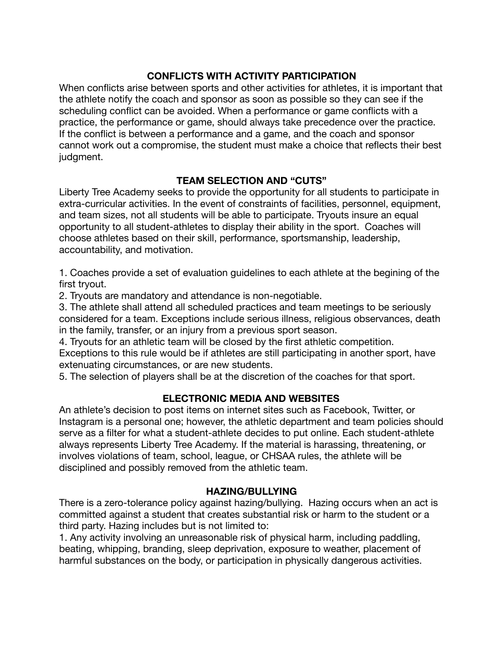## **CONFLICTS WITH ACTIVITY PARTICIPATION**

When conflicts arise between sports and other activities for athletes, it is important that the athlete notify the coach and sponsor as soon as possible so they can see if the scheduling conflict can be avoided. When a performance or game conflicts with a practice, the performance or game, should always take precedence over the practice. If the conflict is between a performance and a game, and the coach and sponsor cannot work out a compromise, the student must make a choice that reflects their best judgment.

## **TEAM SELECTION AND "CUTS"**

Liberty Tree Academy seeks to provide the opportunity for all students to participate in extra-curricular activities. In the event of constraints of facilities, personnel, equipment, and team sizes, not all students will be able to participate. Tryouts insure an equal opportunity to all student-athletes to display their ability in the sport. Coaches will choose athletes based on their skill, performance, sportsmanship, leadership, accountability, and motivation.

1. Coaches provide a set of evaluation guidelines to each athlete at the begining of the first tryout.

2. Tryouts are mandatory and attendance is non-negotiable.

3. The athlete shall attend all scheduled practices and team meetings to be seriously considered for a team. Exceptions include serious illness, religious observances, death in the family, transfer, or an injury from a previous sport season.

4. Tryouts for an athletic team will be closed by the first athletic competition.

Exceptions to this rule would be if athletes are still participating in another sport, have extenuating circumstances, or are new students.

5. The selection of players shall be at the discretion of the coaches for that sport.

## **ELECTRONIC MEDIA AND WEBSITES**

An athlete's decision to post items on internet sites such as Facebook, Twitter, or Instagram is a personal one; however, the athletic department and team policies should serve as a filter for what a student-athlete decides to put online. Each student-athlete always represents Liberty Tree Academy. If the material is harassing, threatening, or involves violations of team, school, league, or CHSAA rules, the athlete will be disciplined and possibly removed from the athletic team.

## **HAZING/BULLYING**

There is a zero-tolerance policy against hazing/bullying. Hazing occurs when an act is committed against a student that creates substantial risk or harm to the student or a third party. Hazing includes but is not limited to:

1. Any activity involving an unreasonable risk of physical harm, including paddling, beating, whipping, branding, sleep deprivation, exposure to weather, placement of harmful substances on the body, or participation in physically dangerous activities.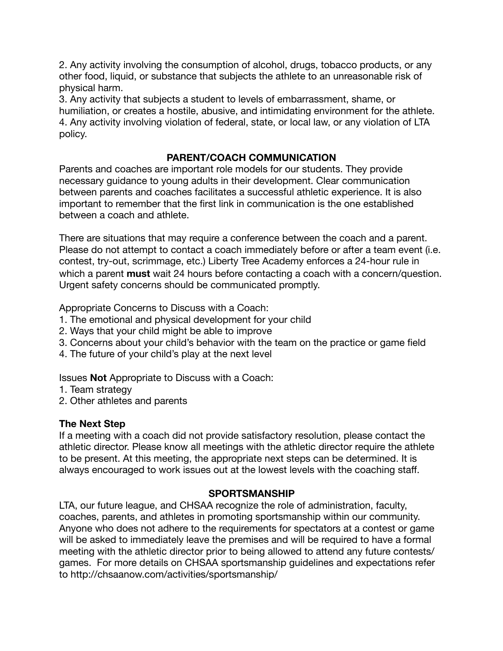2. Any activity involving the consumption of alcohol, drugs, tobacco products, or any other food, liquid, or substance that subjects the athlete to an unreasonable risk of physical harm.

3. Any activity that subjects a student to levels of embarrassment, shame, or humiliation, or creates a hostile, abusive, and intimidating environment for the athlete. 4. Any activity involving violation of federal, state, or local law, or any violation of LTA policy.

## **PARENT/COACH COMMUNICATION**

Parents and coaches are important role models for our students. They provide necessary guidance to young adults in their development. Clear communication between parents and coaches facilitates a successful athletic experience. It is also important to remember that the first link in communication is the one established between a coach and athlete.

There are situations that may require a conference between the coach and a parent. Please do not attempt to contact a coach immediately before or after a team event (i.e. contest, try-out, scrimmage, etc.) Liberty Tree Academy enforces a 24-hour rule in which a parent **must** wait 24 hours before contacting a coach with a concern/question. Urgent safety concerns should be communicated promptly.

Appropriate Concerns to Discuss with a Coach:

- 1. The emotional and physical development for your child
- 2. Ways that your child might be able to improve
- 3. Concerns about your child's behavior with the team on the practice or game field
- 4. The future of your child's play at the next level

Issues **Not** Appropriate to Discuss with a Coach:

- 1. Team strategy
- 2. Other athletes and parents

## **The Next Step**

If a meeting with a coach did not provide satisfactory resolution, please contact the athletic director. Please know all meetings with the athletic director require the athlete to be present. At this meeting, the appropriate next steps can be determined. It is always encouraged to work issues out at the lowest levels with the coaching staff.

#### **SPORTSMANSHIP**

LTA, our future league, and CHSAA recognize the role of administration, faculty, coaches, parents, and athletes in promoting sportsmanship within our community. Anyone who does not adhere to the requirements for spectators at a contest or game will be asked to immediately leave the premises and will be required to have a formal meeting with the athletic director prior to being allowed to attend any future contests/ games. For more details on CHSAA sportsmanship guidelines and expectations refer to http://chsaanow.com/activities/sportsmanship/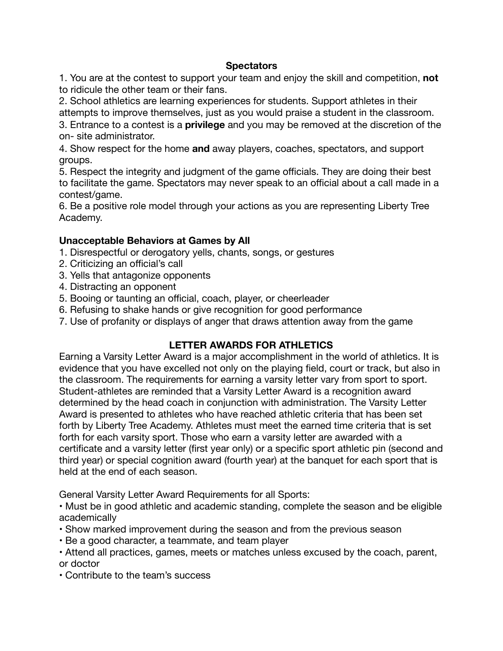#### **Spectators**

1. You are at the contest to support your team and enjoy the skill and competition, **not** to ridicule the other team or their fans.

2. School athletics are learning experiences for students. Support athletes in their attempts to improve themselves, just as you would praise a student in the classroom.

3. Entrance to a contest is a **privilege** and you may be removed at the discretion of the on- site administrator.

4. Show respect for the home **and** away players, coaches, spectators, and support groups.

5. Respect the integrity and judgment of the game officials. They are doing their best to facilitate the game. Spectators may never speak to an official about a call made in a contest/game.

6. Be a positive role model through your actions as you are representing Liberty Tree Academy.

## **Unacceptable Behaviors at Games by All**

- 1. Disrespectful or derogatory yells, chants, songs, or gestures
- 2. Criticizing an official's call
- 3. Yells that antagonize opponents
- 4. Distracting an opponent
- 5. Booing or taunting an official, coach, player, or cheerleader
- 6. Refusing to shake hands or give recognition for good performance
- 7. Use of profanity or displays of anger that draws attention away from the game

# **LETTER AWARDS FOR ATHLETICS**

Earning a Varsity Letter Award is a major accomplishment in the world of athletics. It is evidence that you have excelled not only on the playing field, court or track, but also in the classroom. The requirements for earning a varsity letter vary from sport to sport. Student-athletes are reminded that a Varsity Letter Award is a recognition award determined by the head coach in conjunction with administration. The Varsity Letter Award is presented to athletes who have reached athletic criteria that has been set forth by Liberty Tree Academy. Athletes must meet the earned time criteria that is set forth for each varsity sport. Those who earn a varsity letter are awarded with a certificate and a varsity letter (first year only) or a specific sport athletic pin (second and third year) or special cognition award (fourth year) at the banquet for each sport that is held at the end of each season.

General Varsity Letter Award Requirements for all Sports:

• Must be in good athletic and academic standing, complete the season and be eligible academically

- Show marked improvement during the season and from the previous season
- Be a good character, a teammate, and team player
- Attend all practices, games, meets or matches unless excused by the coach, parent, or doctor
- Contribute to the team's success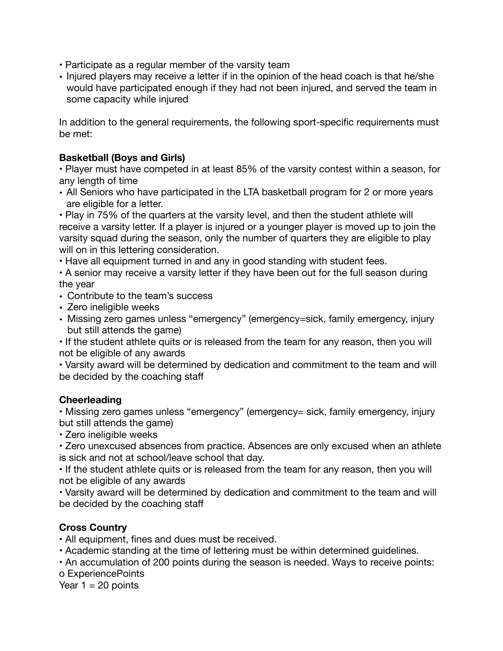- Participate as a regular member of the varsity team
- Injured players may receive a letter if in the opinion of the head coach is that he/she would have participated enough if they had not been injured, and served the team in some capacity while injured

In addition to the general requirements, the following sport-specific requirements must be met:

## **Basketball (Boys and Girls)**

• Player must have competed in at least 85% of the varsity contest within a season, for any length of time

• All Seniors who have participated in the LTA basketball program for 2 or more years are eligible for a letter.

• Play in 75% of the quarters at the varsity level, and then the student athlete will receive a varsity letter. If a player is injured or a younger player is moved up to join the varsity squad during the season, only the number of quarters they are eligible to play will on in this lettering consideration.

• Have all equipment turned in and any in good standing with student fees.

• A senior may receive a varsity letter if they have been out for the full season during the year

- Contribute to the team's success
- Zero ineligible weeks
- Missing zero games unless "emergency" (emergency=sick, family emergency, injury but still attends the game)

• If the student athlete quits or is released from the team for any reason, then you will not be eligible of any awards

• Varsity award will be determined by dedication and commitment to the team and will be decided by the coaching staff

# **Cheerleading**

• Missing zero games unless "emergency" (emergency= sick, family emergency, injury but still attends the game)

• Zero ineligible weeks

• Zero unexcused absences from practice. Absences are only excused when an athlete is sick and not at school/leave school that day.

• If the student athlete quits or is released from the team for any reason, then you will not be eligible of any awards

• Varsity award will be determined by dedication and commitment to the team and will be decided by the coaching staff

# **Cross Country**

• All equipment, fines and dues must be received.

- Academic standing at the time of lettering must be within determined guidelines.
- An accumulation of 200 points during the season is needed. Ways to receive points:

o ExperiencePoints

Year  $1 = 20$  points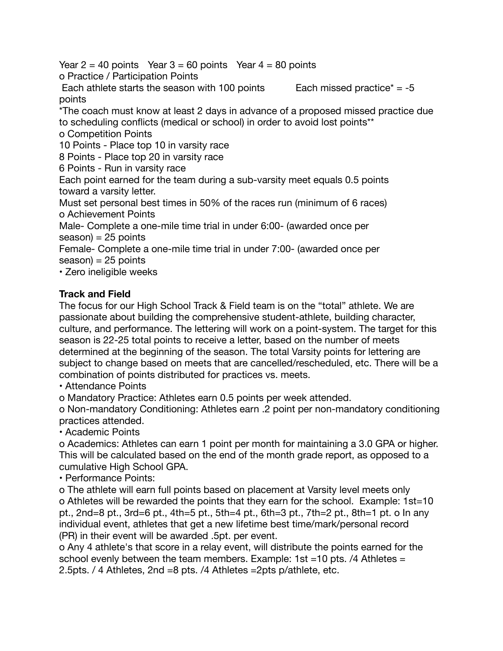Year  $2 = 40$  points Year  $3 = 60$  points Year  $4 = 80$  points o Practice / Participation Points

Each athlete starts the season with 100 points Each missed practice<sup>\*</sup>  $=$  -5 points

\*The coach must know at least 2 days in advance of a proposed missed practice due to scheduling conflicts (medical or school) in order to avoid lost points\*\*

o Competition Points

10 Points - Place top 10 in varsity race

8 Points - Place top 20 in varsity race

6 Points - Run in varsity race

Each point earned for the team during a sub-varsity meet equals 0.5 points toward a varsity letter.

Must set personal best times in 50% of the races run (minimum of 6 races) o Achievement Points

Male- Complete a one-mile time trial in under 6:00- (awarded once per  $season) = 25 points$ 

Female- Complete a one-mile time trial in under 7:00- (awarded once per  $season) = 25 points$ 

• Zero ineligible weeks

## **Track and Field**

The focus for our High School Track & Field team is on the "total" athlete. We are passionate about building the comprehensive student-athlete, building character, culture, and performance. The lettering will work on a point-system. The target for this season is 22-25 total points to receive a letter, based on the number of meets determined at the beginning of the season. The total Varsity points for lettering are subject to change based on meets that are cancelled/rescheduled, etc. There will be a combination of points distributed for practices vs. meets.

• Attendance Points

o Mandatory Practice: Athletes earn 0.5 points per week attended.

o Non-mandatory Conditioning: Athletes earn .2 point per non-mandatory conditioning practices attended.

• Academic Points

o Academics: Athletes can earn 1 point per month for maintaining a 3.0 GPA or higher. This will be calculated based on the end of the month grade report, as opposed to a cumulative High School GPA.

• Performance Points:

o The athlete will earn full points based on placement at Varsity level meets only o Athletes will be rewarded the points that they earn for the school. Example: 1st=10 pt., 2nd=8 pt., 3rd=6 pt., 4th=5 pt., 5th=4 pt., 6th=3 pt., 7th=2 pt., 8th=1 pt. o In any individual event, athletes that get a new lifetime best time/mark/personal record (PR) in their event will be awarded .5pt. per event.

o Any 4 athlete's that score in a relay event, will distribute the points earned for the school evenly between the team members. Example:  $1st = 10$  pts. /4 Athletes  $=$ 2.5pts. / 4 Athletes, 2nd =8 pts. /4 Athletes =2pts p/athlete, etc.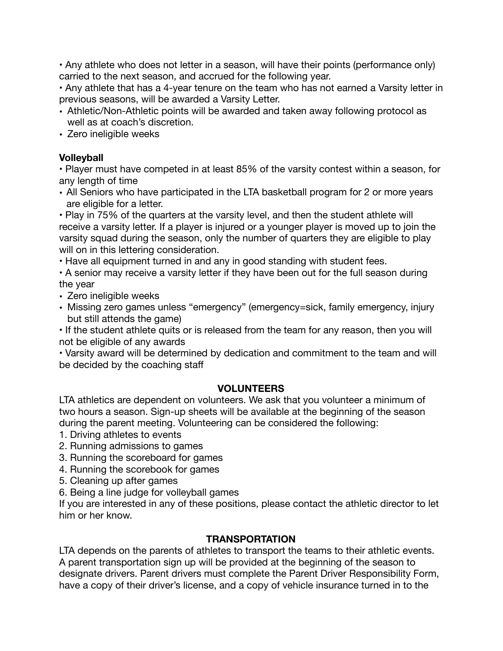• Any athlete who does not letter in a season, will have their points (performance only) carried to the next season, and accrued for the following year.

• Any athlete that has a 4-year tenure on the team who has not earned a Varsity letter in previous seasons, will be awarded a Varsity Letter.

- Athletic/Non-Athletic points will be awarded and taken away following protocol as well as at coach's discretion.
- Zero ineligible weeks

# **Volleyball**

• Player must have competed in at least 85% of the varsity contest within a season, for any length of time

• All Seniors who have participated in the LTA basketball program for 2 or more years are eligible for a letter.

• Play in 75% of the quarters at the varsity level, and then the student athlete will receive a varsity letter. If a player is injured or a younger player is moved up to join the varsity squad during the season, only the number of quarters they are eligible to play will on in this lettering consideration.

• Have all equipment turned in and any in good standing with student fees.

• A senior may receive a varsity letter if they have been out for the full season during the year

- Zero ineligible weeks
- Missing zero games unless "emergency" (emergency=sick, family emergency, injury but still attends the game)

• If the student athlete quits or is released from the team for any reason, then you will not be eligible of any awards

• Varsity award will be determined by dedication and commitment to the team and will be decided by the coaching staff

## **VOLUNTEERS**

LTA athletics are dependent on volunteers. We ask that you volunteer a minimum of two hours a season. Sign-up sheets will be available at the beginning of the season during the parent meeting. Volunteering can be considered the following:

- 1. Driving athletes to events
- 2. Running admissions to games
- 3. Running the scoreboard for games
- 4. Running the scorebook for games
- 5. Cleaning up after games
- 6. Being a line judge for volleyball games

If you are interested in any of these positions, please contact the athletic director to let him or her know.

# **TRANSPORTATION**

LTA depends on the parents of athletes to transport the teams to their athletic events. A parent transportation sign up will be provided at the beginning of the season to designate drivers. Parent drivers must complete the Parent Driver Responsibility Form, have a copy of their driver's license, and a copy of vehicle insurance turned in to the